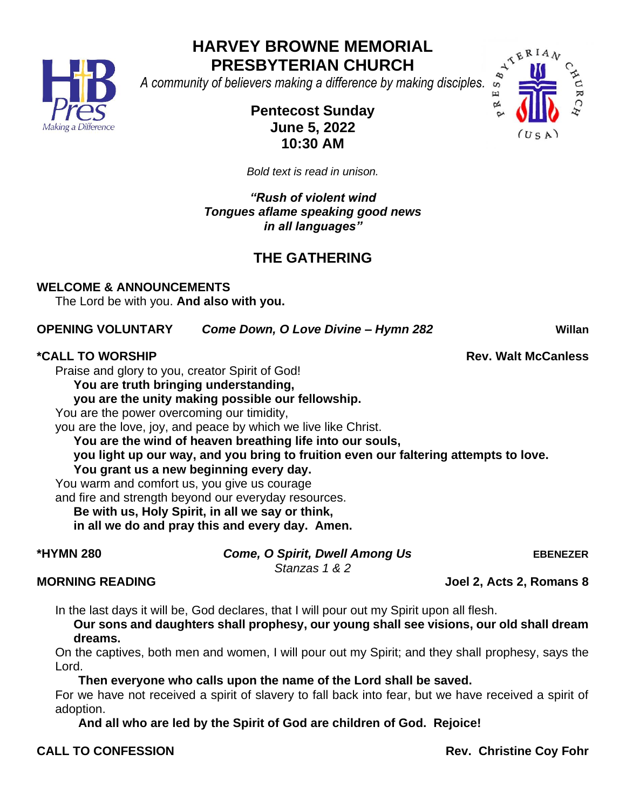

# **HARVEY BROWNE MEMORIAL PRESBYTERIAN CHURCH PRESBYTERIAN CHURCH**<br>A community of believers making a difference by making disciples.



# **Pentecost Sunday June 5, 2022 10:30 AM**

*Bold text is read in unison.* 

*"Rush of violent wind Tongues aflame speaking good news in all languages"*

# **THE GATHERING**

**WELCOME & ANNOUNCEMENTS** 

The Lord be with you. **And also with you.**

#### **OPENING VOLUNTARY** *Come Down, O Love Divine – Hymn 282* **Willan**

### **\*CALL TO WORSHIP Rev. Walt McCanless**

Praise and glory to you, creator Spirit of God!

**You are truth bringing understanding,**

**you are the unity making possible our fellowship.**

You are the power overcoming our timidity,

you are the love, joy, and peace by which we live like Christ.

**You are the wind of heaven breathing life into our souls,**

**you light up our way, and you bring to fruition even our faltering attempts to love. You grant us a new beginning every day.**

You warm and comfort us, you give us courage

and fire and strength beyond our everyday resources.

**Be with us, Holy Spirit, in all we say or think,**

**in all we do and pray this and every day. Amen.**

**\*HYMN 280** *Come, O Spirit, Dwell Among Us* **EBENEZER**

*Stanzas 1 & 2*

### **MORNING READING Joel 2, Acts 2, Romans 8**

In the last days it will be, God declares, that I will pour out my Spirit upon all flesh.

**Our sons and daughters shall prophesy, our young shall see visions, our old shall dream dreams.**

On the captives, both men and women, I will pour out my Spirit; and they shall prophesy, says the Lord.

**Then everyone who calls upon the name of the Lord shall be saved.**

For we have not received a spirit of slavery to fall back into fear, but we have received a spirit of adoption.

**And all who are led by the Spirit of God are children of God. Rejoice!**

**CALL TO CONFESSION Rev. Christine Coy Fohr**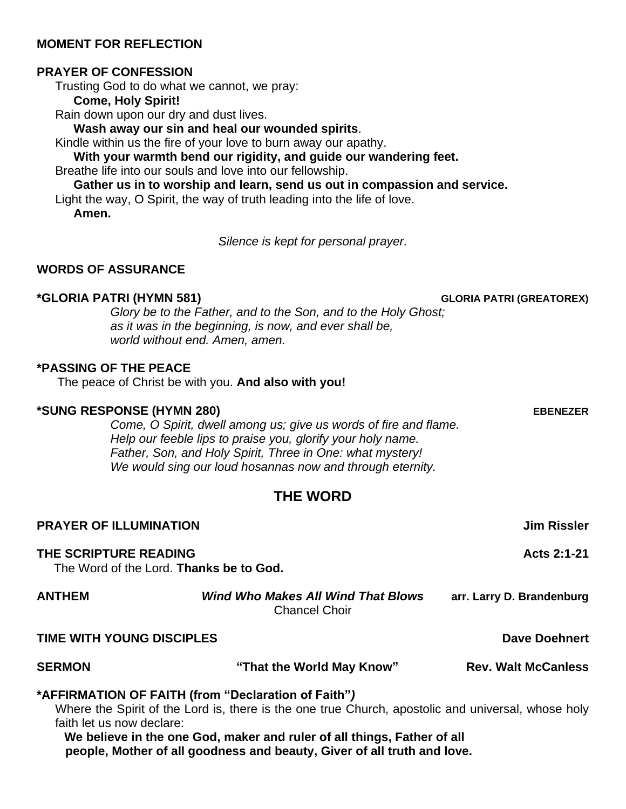#### **MOMENT FOR REFLECTION**

#### **PRAYER OF CONFESSION**

Trusting God to do what we cannot, we pray:

**Come, Holy Spirit!**

Rain down upon our dry and dust lives.

**Wash away our sin and heal our wounded spirits**.

Kindle within us the fire of your love to burn away our apathy.

**With your warmth bend our rigidity, and guide our wandering feet.**

Breathe life into our souls and love into our fellowship.

**Gather us in to worship and learn, send us out in compassion and service.**

Light the way, O Spirit, the way of truth leading into the life of love. **Amen.**

*Silence is kept for personal prayer.*

#### **WORDS OF ASSURANCE**

#### **\*GLORIA PATRI (HYMN 581) GLORIA PATRI (GREATOREX)**

*Glory be to the Father, and to the Son, and to the Holy Ghost; as it was in the beginning, is now, and ever shall be, world without end. Amen, amen.*

#### **\*PASSING OF THE PEACE**

The peace of Christ be with you. **And also with you!**

#### **\*SUNG RESPONSE (HYMN 280) EBENEZER**

*Come, O Spirit, dwell among us; give us words of fire and flame. Help our feeble lips to praise you, glorify your holy name. Father, Son, and Holy Spirit, Three in One: what mystery! We would sing our loud hosannas now and through eternity.*

### **THE WORD**

| <b>PRAYER OF ILLUMINATION</b> |                                                                                                                                                           | <b>Jim Rissler</b>         |
|-------------------------------|-----------------------------------------------------------------------------------------------------------------------------------------------------------|----------------------------|
| THE SCRIPTURE READING         | The Word of the Lord. Thanks be to God.                                                                                                                   | Acts 2:1-21                |
| <b>ANTHEM</b>                 | <b>Wind Who Makes All Wind That Blows</b><br><b>Chancel Choir</b>                                                                                         | arr. Larry D. Brandenburg  |
| TIME WITH YOUNG DISCIPLES     |                                                                                                                                                           | <b>Dave Doehnert</b>       |
| <b>SERMON</b>                 | "That the World May Know"                                                                                                                                 | <b>Rev. Walt McCanless</b> |
| faith let us now declare:     | *AFFIRMATION OF FAITH (from "Declaration of Faith")<br>Where the Spirit of the Lord is, there is the one true Church, apostolic and universal, whose holy |                            |

**We believe in the one God, maker and ruler of all things, Father of all people, Mother of all goodness and beauty, Giver of all truth and love.**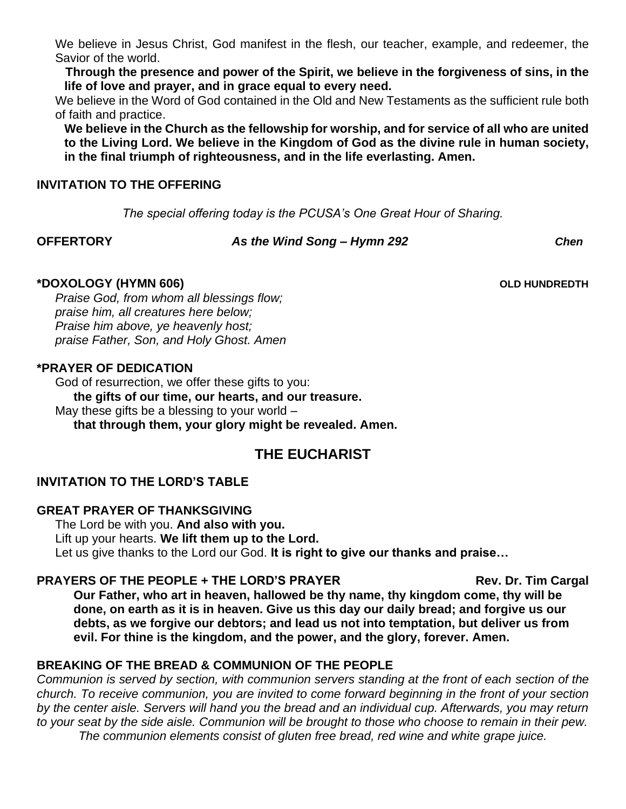We believe in Jesus Christ, God manifest in the flesh, our teacher, example, and redeemer, the Savior of the world.

**Through the presence and power of the Spirit, we believe in the forgiveness of sins, in the life of love and prayer, and in grace equal to every need.**

We believe in the Word of God contained in the Old and New Testaments as the sufficient rule both of faith and practice.

**We believe in the Church as the fellowship for worship, and for service of all who are united to the Living Lord. We believe in the Kingdom of God as the divine rule in human society, in the final triumph of righteousness, and in the life everlasting. Amen.**

#### **INVITATION TO THE OFFERING**

*The special offering today is the PCUSA's One Great Hour of Sharing.*

#### **OFFERTORY** *As the Wind Song – Hymn 292 Chen*

**\*DOXOLOGY (HYMN 606) OLD HUNDREDTH**

*Praise God, from whom all blessings flow; praise him, all creatures here below; Praise him above, ye heavenly host; praise Father, Son, and Holy Ghost. Amen*

#### **\*PRAYER OF DEDICATION**

God of resurrection, we offer these gifts to you: **the gifts of our time, our hearts, and our treasure.** May these gifts be a blessing to your world – **that through them, your glory might be revealed. Amen.**

# **THE EUCHARIST**

### **INVITATION TO THE LORD'S TABLE**

#### **GREAT PRAYER OF THANKSGIVING**

The Lord be with you. **And also with you.** Lift up your hearts. **We lift them up to the Lord.** Let us give thanks to the Lord our God. **It is right to give our thanks and praise…**

#### **PRAYERS OF THE PEOPLE + THE LORD'S PRAYER THE REV. Dr. Tim Cargal**

**Our Father, who art in heaven, hallowed be thy name, thy kingdom come, thy will be done, on earth as it is in heaven. Give us this day our daily bread; and forgive us our debts, as we forgive our debtors; and lead us not into temptation, but deliver us from evil. For thine is the kingdom, and the power, and the glory, forever. Amen.**

#### **BREAKING OF THE BREAD & COMMUNION OF THE PEOPLE**

*Communion is served by section, with communion servers standing at the front of each section of the church. To receive communion, you are invited to come forward beginning in the front of your section by the center aisle. Servers will hand you the bread and an individual cup. Afterwards, you may return to your seat by the side aisle. Communion will be brought to those who choose to remain in their pew. The communion elements consist of gluten free bread, red wine and white grape juice.*